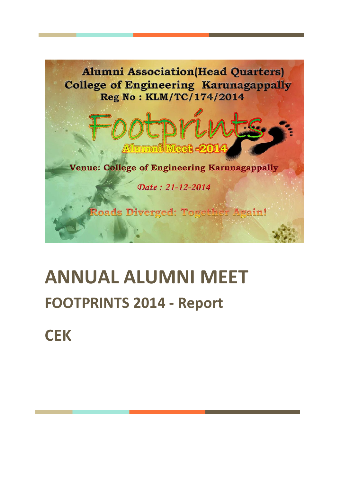

# **ANNUAL ALUMNI MEET FOOTPRINTS 2014 - Report**

**CEK**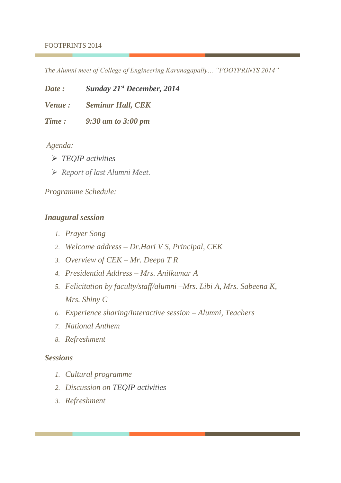#### FOOTPRINTS 2014

*The Alumni meet of College of Engineering Karunagapally… "FOOTPRINTS 2014"*

*Date : Sunday 21st December, 2014*

*Venue : Seminar Hall, CEK* 

*Time : 9:30 am to 3:00 pm*

*Agenda:*

- ➢ *TEQIP activities*
- ➢ *Report of last Alumni Meet.*

## *Programme Schedule:*

## *Inaugural session*

- *1. Prayer Song*
- *2. Welcome address – Dr.Hari V S, Principal, CEK*
- *3. Overview of CEK – Mr. Deepa T R*
- *4. Presidential Address – Mrs. Anilkumar A*
- *5. Felicitation by faculty/staff/alumni –Mrs. Libi A, Mrs. Sabeena K, Mrs. Shiny C*
- *6. Experience sharing/Interactive session – Alumni, Teachers*
- *7. National Anthem*
- *8. Refreshment*

## *Sessions*

- *1. Cultural programme*
- *2. Discussion on TEQIP activities*
- *3. Refreshment*